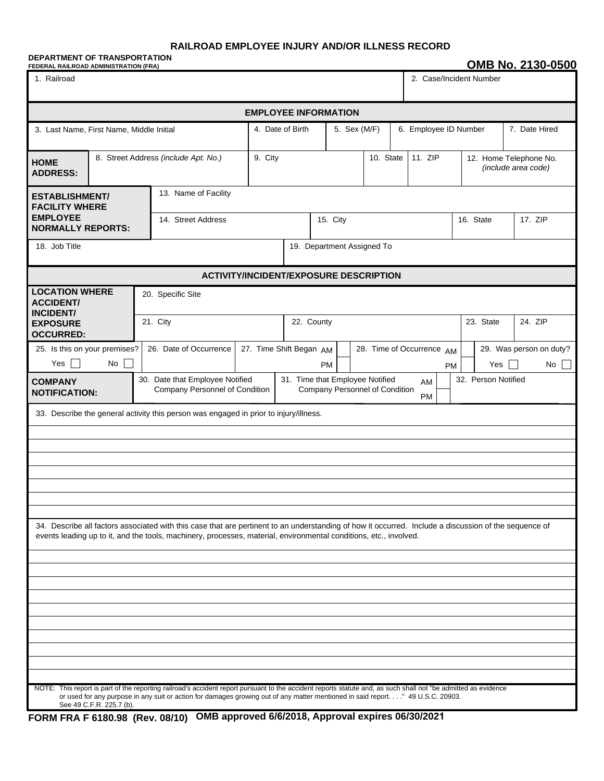## **RAILROAD EMPLOYEE INJURY AND/OR ILLNESS RECORD**

## **DEPARTMENT OF TRANSPORTATION** FEDERAL RAILROAD ADMINISTRATION (FRA)<br>
FEDERAL RAILROAD ADMINISTRATION (FRA)

| 1. Railroad                                                                                        |                                      |  |                                                                                                                                                                                                                                                                                                  |                             |                  |           |  |                                                                   |  | 2. Case/Incident Number |           |                       |                                               |                               |
|----------------------------------------------------------------------------------------------------|--------------------------------------|--|--------------------------------------------------------------------------------------------------------------------------------------------------------------------------------------------------------------------------------------------------------------------------------------------------|-----------------------------|------------------|-----------|--|-------------------------------------------------------------------|--|-------------------------|-----------|-----------------------|-----------------------------------------------|-------------------------------|
|                                                                                                    |                                      |  |                                                                                                                                                                                                                                                                                                  | <b>EMPLOYEE INFORMATION</b> |                  |           |  |                                                                   |  |                         |           |                       |                                               |                               |
| 3. Last Name, First Name, Middle Initial                                                           |                                      |  |                                                                                                                                                                                                                                                                                                  |                             | 4. Date of Birth |           |  | 5. Sex (M/F)                                                      |  |                         |           | 6. Employee ID Number |                                               | 7. Date Hired                 |
| <b>HOME</b><br><b>ADDRESS:</b>                                                                     | 8. Street Address (include Apt. No.) |  |                                                                                                                                                                                                                                                                                                  | 9. City                     | 10. State        |           |  |                                                                   |  | 11. ZIP                 |           |                       | 12. Home Telephone No.<br>(include area code) |                               |
| <b>ESTABLISHMENT/</b><br><b>FACILITY WHERE</b><br><b>EMPLOYEE</b>                                  |                                      |  | 13. Name of Facility                                                                                                                                                                                                                                                                             |                             |                  |           |  |                                                                   |  |                         |           |                       |                                               |                               |
| <b>NORMALLY REPORTS:</b>                                                                           |                                      |  | 14. Street Address                                                                                                                                                                                                                                                                               |                             | 15. City         |           |  |                                                                   |  |                         |           |                       | 16. State                                     | 17. ZIP                       |
| 18. Job Title<br>19. Department Assigned To                                                        |                                      |  |                                                                                                                                                                                                                                                                                                  |                             |                  |           |  |                                                                   |  |                         |           |                       |                                               |                               |
| <b>ACTIVITY/INCIDENT/EXPOSURE DESCRIPTION</b>                                                      |                                      |  |                                                                                                                                                                                                                                                                                                  |                             |                  |           |  |                                                                   |  |                         |           |                       |                                               |                               |
| <b>LOCATION WHERE</b><br><b>ACCIDENT/</b><br><b>INCIDENT/</b>                                      |                                      |  | 20. Specific Site                                                                                                                                                                                                                                                                                |                             |                  |           |  |                                                                   |  |                         |           |                       |                                               |                               |
| <b>EXPOSURE</b><br><b>OCCURRED:</b>                                                                |                                      |  | 21. City                                                                                                                                                                                                                                                                                         | 22. County                  |                  |           |  |                                                                   |  |                         |           | 23. State             | 24. ZIP                                       |                               |
| 25. Is this on your premises?<br>Yes                                                               | No                                   |  | 26. Date of Occurrence                                                                                                                                                                                                                                                                           | 27. Time Shift Began AM     |                  | <b>PM</b> |  | 28. Time of Occurrence AM                                         |  |                         | <b>PM</b> |                       | Yes                                           | 29. Was person on duty?<br>No |
| <b>COMPANY</b><br><b>NOTIFICATION:</b>                                                             |                                      |  | 30. Date that Employee Notified<br>Company Personnel of Condition                                                                                                                                                                                                                                |                             |                  |           |  | 31. Time that Employee Notified<br>Company Personnel of Condition |  | AM                      |           |                       | 32. Person Notified                           |                               |
| <b>PM</b><br>33. Describe the general activity this person was engaged in prior to injury/illness. |                                      |  |                                                                                                                                                                                                                                                                                                  |                             |                  |           |  |                                                                   |  |                         |           |                       |                                               |                               |
|                                                                                                    |                                      |  |                                                                                                                                                                                                                                                                                                  |                             |                  |           |  |                                                                   |  |                         |           |                       |                                               |                               |
|                                                                                                    |                                      |  |                                                                                                                                                                                                                                                                                                  |                             |                  |           |  |                                                                   |  |                         |           |                       |                                               |                               |
|                                                                                                    |                                      |  |                                                                                                                                                                                                                                                                                                  |                             |                  |           |  |                                                                   |  |                         |           |                       |                                               |                               |
|                                                                                                    |                                      |  |                                                                                                                                                                                                                                                                                                  |                             |                  |           |  |                                                                   |  |                         |           |                       |                                               |                               |
|                                                                                                    |                                      |  |                                                                                                                                                                                                                                                                                                  |                             |                  |           |  |                                                                   |  |                         |           |                       |                                               |                               |
|                                                                                                    |                                      |  | 34. Describe all factors associated with this case that are pertinent to an understanding of how it occurred. Include a discussion of the sequence of<br>events leading up to it, and the tools, machinery, processes, material, environmental conditions, etc., involved.                       |                             |                  |           |  |                                                                   |  |                         |           |                       |                                               |                               |
|                                                                                                    |                                      |  |                                                                                                                                                                                                                                                                                                  |                             |                  |           |  |                                                                   |  |                         |           |                       |                                               |                               |
|                                                                                                    |                                      |  |                                                                                                                                                                                                                                                                                                  |                             |                  |           |  |                                                                   |  |                         |           |                       |                                               |                               |
|                                                                                                    |                                      |  |                                                                                                                                                                                                                                                                                                  |                             |                  |           |  |                                                                   |  |                         |           |                       |                                               |                               |
|                                                                                                    |                                      |  |                                                                                                                                                                                                                                                                                                  |                             |                  |           |  |                                                                   |  |                         |           |                       |                                               |                               |
|                                                                                                    |                                      |  |                                                                                                                                                                                                                                                                                                  |                             |                  |           |  |                                                                   |  |                         |           |                       |                                               |                               |
|                                                                                                    |                                      |  |                                                                                                                                                                                                                                                                                                  |                             |                  |           |  |                                                                   |  |                         |           |                       |                                               |                               |
|                                                                                                    |                                      |  | NOTE: This report is part of the reporting railroad's accident report pursuant to the accident reports statute and, as such shall not "be admitted as evidence<br>or used for any purpose in any suit or action for damages growing out of any matter mentioned in said report" 49 U.S.C. 20903. |                             |                  |           |  |                                                                   |  |                         |           |                       |                                               |                               |
|                                                                                                    | See 49 C.F.R. 225.7 (b).             |  |                                                                                                                                                                                                                                                                                                  |                             |                  |           |  |                                                                   |  |                         |           |                       |                                               |                               |